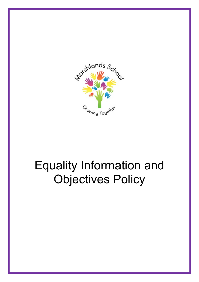

# Equality Information and Objectives Policy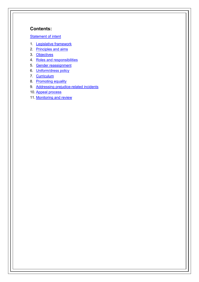# **Contents:**

**[Statement of intent](#page-2-0)** 

- 1. [Legislative framework](#page-3-0)
- 2. [Principles and aims](#page-4-0)
- 3. [Objectives](#page-5-0)
- 4. [Roles and responsibilities](#page-5-1)
- 5. [Gender reassignment](#page-7-0)
- 6. [Uniform/dress policy](#page-7-1)
- 7. [Curriculum](#page-7-2)
- 8. [Promoting equality](#page-8-0)
- 9. [Addressing prejudice-related incidents](#page-9-0)
- 10. [Appeal process](#page-9-1)
- 11. [Monitoring and review](#page-9-2)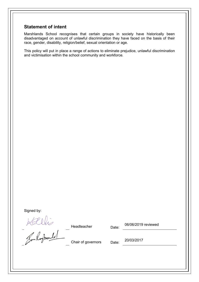#### <span id="page-2-0"></span>**Statement of intent**

Marshlands School recognises that certain groups in society have historically been disadvantaged on account of unlawful discrimination they have faced on the basis of their race, gender, disability, religion/belief, sexual orientation or age.

This policy will put in place a range of actions to eliminate prejudice, unlawful discrimination and victimisation within the school community and workforce.

Signed by:

Kallis

Headteacher Date:

06/06/2019 reviewed

Chair of governors Date: 20/03/2017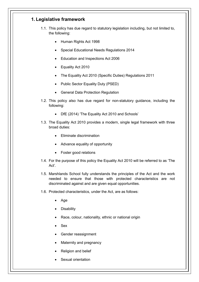### <span id="page-3-0"></span>**1. Legislative framework**

- 1.1. This policy has due regard to statutory legislation including, but not limited to, the following:
	- Human Rights Act 1998
	- Special Educational Needs Regulations 2014
	- Education and Inspections Act 2006
	- Equality Act 2010
	- The Equality Act 2010 (Specific Duties) Regulations 2011
	- Public Sector Equality Duty (PSED)
	- General Data Protection Regulation
- 1.2. This policy also has due regard for non-statutory guidance, including the following:
	- DfE (2014) 'The Equality Act 2010 and Schools'
- 1.3. The Equality Act 2010 provides a modern, single legal framework with three broad duties:
	- Eliminate discrimination
	- Advance equality of opportunity
	- Foster good relations
- 1.4. For the purpose of this policy the Equality Act 2010 will be referred to as 'The Act'.
- 1.5. Marshlands School fully understands the principles of the Act and the work needed to ensure that those with protected characteristics are not discriminated against and are given equal opportunities.
- 1.6. Protected characteristics, under the Act, are as follows:
	- Age
	- **Disability**
	- Race, colour, nationality, ethnic or national origin
	- Sex
	- Gender reassignment
	- Maternity and pregnancy
	- Religion and belief
	- Sexual orientation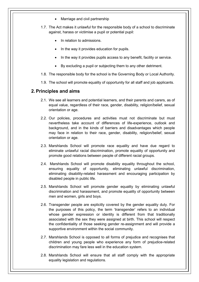- Marriage and civil partnership
- 1.7. The Act makes it unlawful for the responsible body of a school to discriminate against, harass or victimise a pupil or potential pupil:
	- In relation to admissions.
	- In the way it provides education for pupils.
	- In the way it provides pupils access to any benefit, facility or service.
	- By excluding a pupil or subjecting them to any other detriment.
- 1.8. The responsible body for the school is the Governing Body or Local Authority.
- 1.9. The school will promote equality of opportunity for all staff and job applicants.

#### <span id="page-4-0"></span>**2.Principles and aims**

- 2.1. We see all learners and potential learners, and their parents and carers, as of equal value, regardless of their race, gender, disability, religion/belief, sexual orientation or age.
- 2.2. Our policies, procedures and activities must not discriminate but must nevertheless take account of differences of life-experience, outlook and background, and in the kinds of barriers and disadvantages which people may face in relation to their race, gender, disability, religion/belief, sexual orientation or age.
- 2.3. Marshlands School will promote race equality and have due regard to eliminate unlawful racial discrimination, promote equality of opportunity and promote good relations between people of different racial groups.
- 2.4. Marshlands School will promote disability equality throughout the school, ensuring equality of opportunity, eliminating unlawful discrimination, eliminating disability-related harassment and encouraging participation by disabled people in public life.
- 2.5. Marshlands School will promote gender equality by eliminating unlawful discrimination and harassment, and promote equality of opportunity between men and women, girls and boys.
- 2.6. Transgender people are explicitly covered by the gender equality duty. For the purposes of this policy, the term 'transgender' refers to an individual whose gender expression or identity is different from that traditionally associated with the sex they were assigned at birth. This school will respect the confidentiality of those seeking gender re-assignment and will provide a supportive environment within the social community.
- 2.7. Marshlands School is opposed to all forms of prejudice and recognises that children and young people who experience any form of prejudice-related discrimination may fare less well in the education system.
- 2.8. Marshlands School will ensure that all staff comply with the appropriate equality legislation and regulations.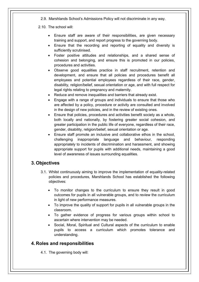2.9. Marshlands School's Admissions Policy will not discriminate in any way.

2.10. The school will:

- Ensure staff are aware of their responsibilities, are given necessary training and support, and report progress to the governing body.
- Ensure that the recording and reporting of equality and diversity is sufficiently scrutinised.
- Foster positive attitudes and relationships, and a shared sense of cohesion and belonging, and ensure this is promoted in our policies, procedures and activities.
- Observe good equalities practice in staff recruitment, retention and development, and ensure that all policies and procedures benefit all employees and potential employees regardless of their race, gender, disability, religion/belief, sexual orientation or age, and with full respect for legal rights relating to pregnancy and maternity.
- Reduce and remove inequalities and barriers that already exist.
- Engage with a range of groups and individuals to ensure that those who are affected by a policy, procedure or activity are consulted and involved in the design of new policies, and in the review of existing ones.
- Ensure that policies, procedures and activities benefit society as a whole, both locally and nationally, by fostering greater social cohesion, and greater participation in the public life of everyone, regardless of their race, gender, disability, religion/belief, sexual orientation or age.
- Ensure staff promote an inclusive and collaborative ethos in the school, challenging inappropriate language and behaviour, responding appropriately to incidents of discrimination and harassment, and showing appropriate support for pupils with additional needs, maintaining a good level of awareness of issues surrounding equalities.

# <span id="page-5-0"></span>**3. Objectives**

- 3.1. Whilst continuously aiming to improve the implementation of equality-related policies and procedures, Marshlands School has established the following objectives:
	- To monitor changes to the curriculum to ensure they result in good outcomes for pupils in all vulnerable groups, and to review the curriculum in light of new performance measures.
	- To improve the quality of support for pupils in all vulnerable groups in the classroom.
	- To gather evidence of progress for various groups within school to ascertain where intervention may be needed.
	- Social, Moral, Spiritual and Cultural aspects of the curriculum to enable pupils to access a curriculum which promotes tolerance and understanding.

# <span id="page-5-1"></span>**4. Roles and responsibilities**

4.1. The governing body will: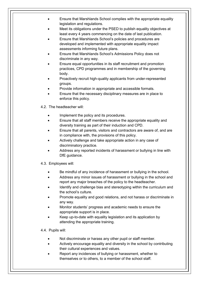- Ensure that Marshlands School complies with the appropriate equality legislation and regulations.
- Meet its obligations under the PSED to publish equality objectives at least every 4 years commencing on the date of last publication.
- Ensure that Marshlands School's policies and procedures are developed and implemented with appropriate equality impact assessments informing future plans.
- Ensure that Marshlands School's Admissions Policy does not discriminate in any way.
- Ensure equal opportunities in its staff recruitment and promotion practices, CPD programmes and in membership of the governing body.
- Proactively recruit high-quality applicants from under-represented groups.
- Provide information in appropriate and accessible formats.
- Ensure that the necessary disciplinary measures are in place to enforce this policy.
- 4.2. The headteacher will:
	- Implement the policy and its procedures.
	- Ensure that all staff members receive the appropriate equality and diversity training as part of their induction and CPD.
	- Ensure that all parents, visitors and contractors are aware of, and are in compliance with, the provisions of this policy.
	- Actively challenge and take appropriate action in any case of discriminatory practice.
	- Address any reported incidents of harassment or bullying in line with DfE guidance.
- 4.3. Employees will:
	- Be mindful of any incidence of harassment or bullying in the school.
	- Address any minor issues of harassment or bullying in the school and report any major breaches of the policy to the headteacher.
	- Identify and challenge bias and stereotyping within the curriculum and the school's culture.
	- Promote equality and good relations, and not harass or discriminate in any way.
	- Monitor students' progress and academic needs to ensure the appropriate support is in place.
	- Keep up-to-date with equality legislation and its application by attending the appropriate training.
- 4.4. Pupils will:
	- Not discriminate or harass any other pupil or staff member.
	- Actively encourage equality and diversity in the school by contributing their cultural experiences and values.
	- Report any incidences of bullying or harassment, whether to themselves or to others, to a member of the school staff.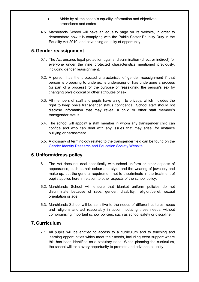- Abide by all the school's equality information and objectives, procedures and codes.
- 4.5. Marshlands School will have an equality page on its website, in order to demonstrate how it is complying with the Public Sector Equality Duty in the Equality Act 2010, and advancing equality of opportunity.

#### <span id="page-7-0"></span>**5. Gender reassignment**

- 5.1. The Act ensures legal protection against discrimination (direct or indirect) for everyone under the nine protected characteristics mentioned previously, including gender reassignment.
- 5.2. A person has the protected characteristic of gender reassignment if that person is proposing to undergo, is undergoing or has undergone a process (or part of a process) for the purpose of reassigning the person's sex by changing physiological or other attributes of sex.
- 5.3. All members of staff and pupils have a right to privacy, which includes the right to keep one's transgender status confidential. School staff should not disclose information that may reveal a child or other staff member's transgender status.
- 5.4. The school will appoint a staff member in whom any transgender child can confide and who can deal with any issues that may arise, for instance bullying or harassment.
- 5.5. A glossary of terminology related to the transgender field can be found on the [Gender Identity Research and Education Society Website.](http://www.gires.org.uk/schools.php)

#### <span id="page-7-1"></span>**6. Uniform/dress policy**

- 6.1. The Act does not deal specifically with school uniform or other aspects of appearance, such as hair colour and style, and the wearing of jewellery and make-up, but the general requirement not to discriminate in the treatment of pupils applies here in relation to other aspects of the school policy.
- 6.2. Marshlands School will ensure that blanket uniform policies do not discriminate because of race, gender, disability, religion/belief, sexual orientation or age.
- 6.3. Marshlands School will be sensitive to the needs of different cultures, races and religions and act reasonably in accommodating these needs, without compromising important school policies, such as school safety or discipline.

#### <span id="page-7-2"></span>**7. Curriculum**

7.1. All pupils will be entitled to access to a curriculum and to teaching and learning opportunities which meet their needs, including extra support where this has been identified as a statutory need. When planning the curriculum, the school will take every opportunity to promote and advance equality.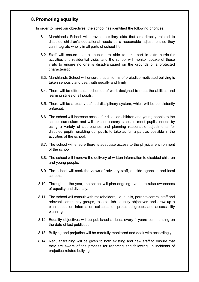#### <span id="page-8-0"></span>**8.Promoting equality**

In order to meet our objectives, the school has identified the following priorities:

- 8.1. Marshlands School will provide auxiliary aids that are directly related to disabled children's educational needs as a reasonable adjustment so they can integrate wholly in all parts of school life.
- 8.2. Staff will ensure that all pupils are able to take part in extra-curricular activities and residential visits, and the school will monitor uptake of these visits to ensure no one is disadvantaged on the grounds of a protected characteristic.
- 8.3. Marshlands School will ensure that all forms of prejudice-motivated bullying is taken seriously and dealt with equally and firmly.
- 8.4. There will be differential schemes of work designed to meet the abilities and learning styles of all pupils.
- 8.5. There will be a clearly defined disciplinary system, which will be consistently enforced.
- 8.6. The school will increase access for disabled children and young people to the school curriculum and will take necessary steps to meet pupils' needs by using a variety of approaches and planning reasonable adjustments for disabled pupils, enabling our pupils to take as full a part as possible in the activities of the school.
- 8.7. The school will ensure there is adequate access to the physical environment of the school.
- 8.8. The school will improve the delivery of written information to disabled children and young people.
- 8.9. The school will seek the views of advisory staff, outside agencies and local schools.
- 8.10. Throughout the year, the school will plan ongoing events to raise awareness of equality and diversity.
- 8.11. The school will consult with stakeholders, i.e. pupils, parents/carers, staff and relevant community groups, to establish equality objectives and draw up a plan based on information collected on protected groups and accessibility planning.
- 8.12. Equality objectives will be published at least every 4 years commencing on the date of last publication.
- 8.13. Bullying and prejudice will be carefully monitored and dealt with accordingly.
- 8.14. Regular training will be given to both existing and new staff to ensure that they are aware of the process for reporting and following up incidents of prejudice-related bullying.